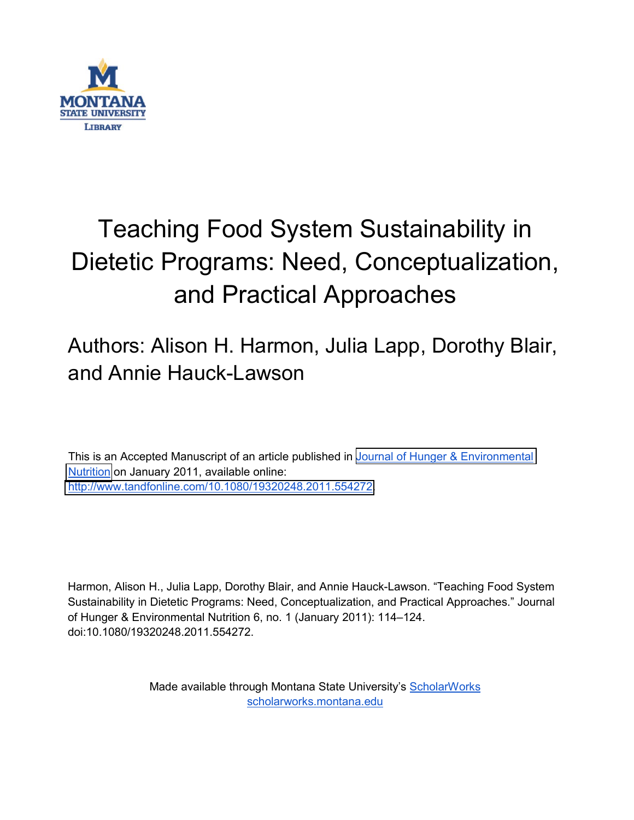

# Teaching Food System Sustainability in Dietetic Programs: Need, Conceptualization, and Practical Approaches

## Authors: Alison H. Harmon, Julia Lapp, Dorothy Blair, and Annie Hauck-Lawson

This is an Accepted Manuscript of an article published in [Journal of Hunger & Environmental](http://www.tandfonline.com/toc/when20/current)  [Nutrition](http://www.tandfonline.com/toc/when20/current) on January 2011, available online: [http://www.tandfonline.com/10.1080/19320248.2011.554272.](https://doi.org/10.1080/19320248.2011.554272)

Harmon, Alison H., Julia Lapp, Dorothy Blair, and Annie Hauck-Lawson. "Teaching Food System Sustainability in Dietetic Programs: Need, Conceptualization, and Practical Approaches." Journal of Hunger & Environmental Nutrition 6, no. 1 (January 2011): 114–124. doi:10.1080/19320248.2011.554272.

> Made available through Montana State University's [ScholarWorks](http://scholarworks.montana.edu/) [scholarworks.montana.edu](http://scholarworks.montana.edu/)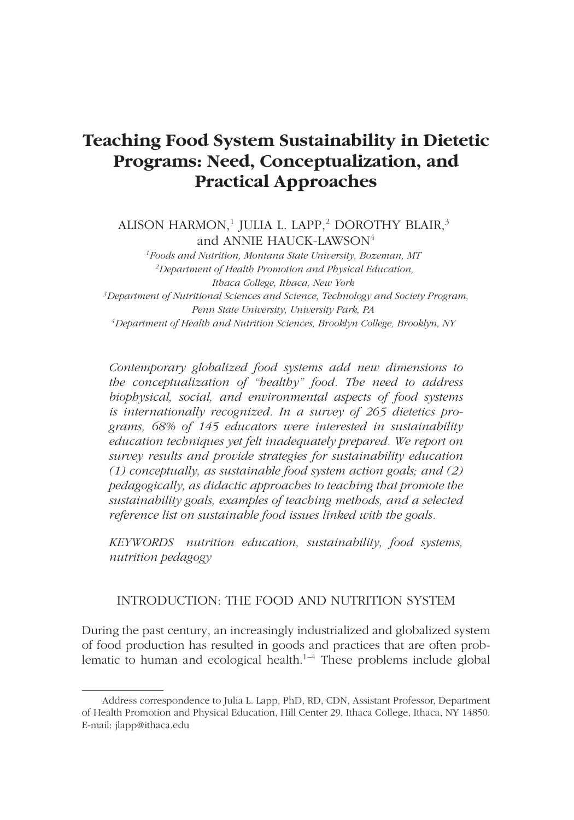### **Teaching Food System Sustainability in Dietetic Programs: Need, Conceptualization, and Practical Approaches**

ALISON HARMON,<sup>1</sup> JULIA L. LAPP,<sup>2</sup> DOROTHY BLAIR,<sup>3</sup> and ANNIE HAUCK-LAWSON<sup>4</sup>

*1Foods and Nutrition, Montana State University, Bozeman, MT 2Department of Health Promotion and Physical Education, Ithaca College, Ithaca, New York 3Department of Nutritional Sciences and Science, Technology and Society Program, Penn State University, University Park, PA 4Department of Health and Nutrition Sciences, Brooklyn College, Brooklyn, NY*

*Contemporary globalized food systems add new dimensions to the conceptualization of "healthy" food. The need to address biophysical, social, and environmental aspects of food systems is internationally recognized. In a survey of 265 dietetics programs, 68% of 145 educators were interested in sustainability education techniques yet felt inadequately prepared. We report on survey results and provide strategies for sustainability education (1) conceptually, as sustainable food system action goals; and (2) pedagogically, as didactic approaches to teaching that promote the sustainability goals, examples of teaching methods, and a selected reference list on sustainable food issues linked with the goals.*

*KEYWORDS nutrition education, sustainability, food systems, nutrition pedagogy*

#### INTRODUCTION: THE FOOD AND NUTRITION SYSTEM

During the past century, an increasingly industrialized and globalized system of food production has resulted in goods and practices that are often problematic to human and ecological health.<sup>1–4</sup> These problems include global

Address correspondence to Julia L. Lapp, PhD, RD, CDN, Assistant Professor, Department of Health Promotion and Physical Education, Hill Center 29, Ithaca College, Ithaca, NY 14850. E-mail: jlapp@ithaca.edu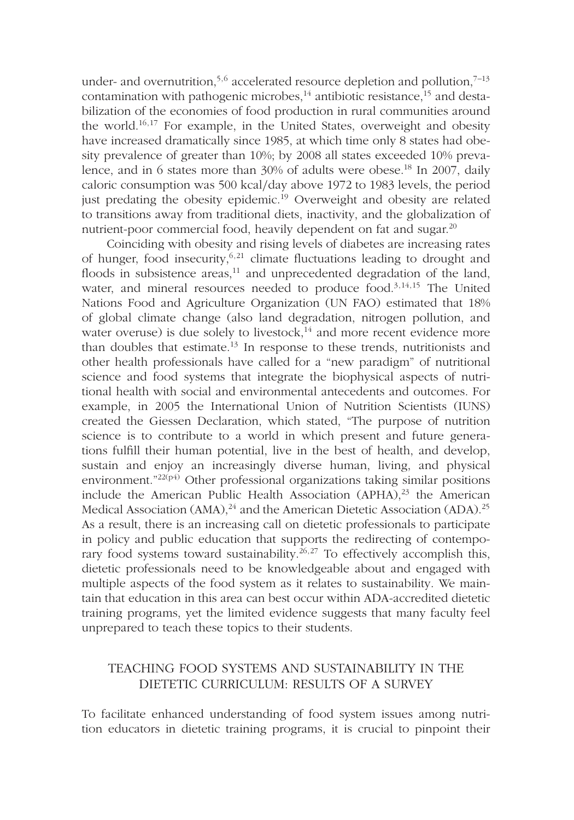under- and overnutrition,<sup>5,6</sup> accelerated resource depletion and pollution,<sup>7-13</sup> contamination with pathogenic microbes,<sup>14</sup> antibiotic resistance,<sup>15</sup> and destabilization of the economies of food production in rural communities around the world.16,17 For example, in the United States, overweight and obesity have increased dramatically since 1985, at which time only 8 states had obesity prevalence of greater than 10%; by 2008 all states exceeded 10% prevalence, and in 6 states more than 30% of adults were obese.<sup>18</sup> In 2007, daily caloric consumption was 500 kcal*/*day above 1972 to 1983 levels, the period just predating the obesity epidemic.<sup>19</sup> Overweight and obesity are related to transitions away from traditional diets, inactivity, and the globalization of nutrient-poor commercial food, heavily dependent on fat and sugar.<sup>20</sup>

Coinciding with obesity and rising levels of diabetes are increasing rates of hunger, food insecurity,  $6,21$  climate fluctuations leading to drought and floods in subsistence areas,<sup>11</sup> and unprecedented degradation of the land, water, and mineral resources needed to produce food.<sup>3,14,15</sup> The United Nations Food and Agriculture Organization (UN FAO) estimated that 18% of global climate change (also land degradation, nitrogen pollution, and water overuse) is due solely to livestock, $14$  and more recent evidence more than doubles that estimate.<sup>13</sup> In response to these trends, nutritionists and other health professionals have called for a "new paradigm" of nutritional science and food systems that integrate the biophysical aspects of nutritional health with social and environmental antecedents and outcomes. For example, in 2005 the International Union of Nutrition Scientists (IUNS) created the Giessen Declaration, which stated, "The purpose of nutrition science is to contribute to a world in which present and future generations fulfill their human potential, live in the best of health, and develop, sustain and enjoy an increasingly diverse human, living, and physical environment."22(p4) Other professional organizations taking similar positions include the American Public Health Association  $(APHA)<sup>23</sup>$  the American Medical Association (AMA),<sup>24</sup> and the American Dietetic Association (ADA).<sup>25</sup> As a result, there is an increasing call on dietetic professionals to participate in policy and public education that supports the redirecting of contemporary food systems toward sustainability.<sup>26,27</sup> To effectively accomplish this, dietetic professionals need to be knowledgeable about and engaged with multiple aspects of the food system as it relates to sustainability. We maintain that education in this area can best occur within ADA-accredited dietetic training programs, yet the limited evidence suggests that many faculty feel unprepared to teach these topics to their students.

#### TEACHING FOOD SYSTEMS AND SUSTAINABILITY IN THE DIETETIC CURRICULUM: RESULTS OF A SURVEY

To facilitate enhanced understanding of food system issues among nutrition educators in dietetic training programs, it is crucial to pinpoint their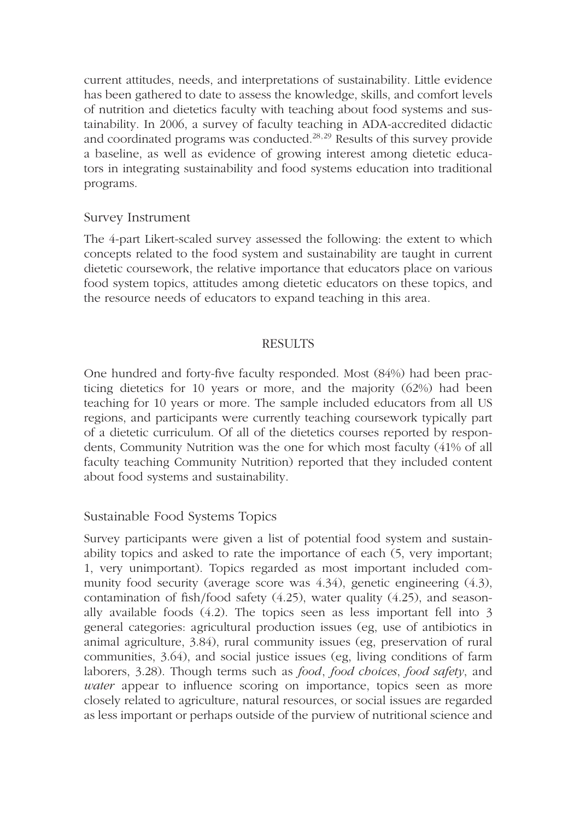current attitudes, needs, and interpretations of sustainability. Little evidence has been gathered to date to assess the knowledge, skills, and comfort levels of nutrition and dietetics faculty with teaching about food systems and sustainability. In 2006, a survey of faculty teaching in ADA-accredited didactic and coordinated programs was conducted.<sup>28,29</sup> Results of this survey provide a baseline, as well as evidence of growing interest among dietetic educators in integrating sustainability and food systems education into traditional programs.

#### Survey Instrument

The 4-part Likert-scaled survey assessed the following: the extent to which concepts related to the food system and sustainability are taught in current dietetic coursework, the relative importance that educators place on various food system topics, attitudes among dietetic educators on these topics, and the resource needs of educators to expand teaching in this area.

#### **RESULTS**

One hundred and forty-five faculty responded. Most (84%) had been practicing dietetics for 10 years or more, and the majority (62%) had been teaching for 10 years or more. The sample included educators from all US regions, and participants were currently teaching coursework typically part of a dietetic curriculum. Of all of the dietetics courses reported by respondents, Community Nutrition was the one for which most faculty (41% of all faculty teaching Community Nutrition) reported that they included content about food systems and sustainability.

#### Sustainable Food Systems Topics

Survey participants were given a list of potential food system and sustainability topics and asked to rate the importance of each (5, very important; 1, very unimportant). Topics regarded as most important included community food security (average score was 4.34), genetic engineering (4.3), contamination of fish*/*food safety (4.25), water quality (4.25), and seasonally available foods (4.2). The topics seen as less important fell into 3 general categories: agricultural production issues (eg, use of antibiotics in animal agriculture, 3.84), rural community issues (eg, preservation of rural communities, 3.64), and social justice issues (eg, living conditions of farm laborers, 3.28). Though terms such as *food*, *food choices*, *food safety*, and *water* appear to influence scoring on importance, topics seen as more closely related to agriculture, natural resources, or social issues are regarded as less important or perhaps outside of the purview of nutritional science and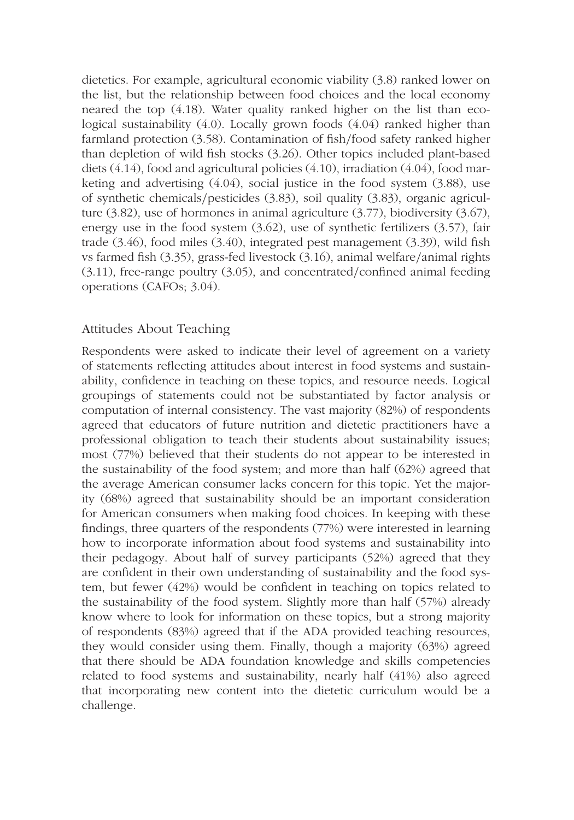dietetics. For example, agricultural economic viability (3.8) ranked lower on the list, but the relationship between food choices and the local economy neared the top (4.18). Water quality ranked higher on the list than ecological sustainability (4.0). Locally grown foods (4.04) ranked higher than farmland protection (3.58). Contamination of fish*/*food safety ranked higher than depletion of wild fish stocks (3.26). Other topics included plant-based diets (4.14), food and agricultural policies (4.10), irradiation (4.04), food marketing and advertising (4.04), social justice in the food system (3.88), use of synthetic chemicals*/*pesticides (3.83), soil quality (3.83), organic agriculture (3.82), use of hormones in animal agriculture (3.77), biodiversity (3.67), energy use in the food system (3.62), use of synthetic fertilizers (3.57), fair trade (3.46), food miles (3.40), integrated pest management (3.39), wild fish vs farmed fish (3.35), grass-fed livestock (3.16), animal welfare*/*animal rights (3.11), free-range poultry (3.05), and concentrated*/*confined animal feeding operations (CAFOs; 3.04).

#### Attitudes About Teaching

Respondents were asked to indicate their level of agreement on a variety of statements reflecting attitudes about interest in food systems and sustainability, confidence in teaching on these topics, and resource needs. Logical groupings of statements could not be substantiated by factor analysis or computation of internal consistency. The vast majority (82%) of respondents agreed that educators of future nutrition and dietetic practitioners have a professional obligation to teach their students about sustainability issues; most (77%) believed that their students do not appear to be interested in the sustainability of the food system; and more than half (62%) agreed that the average American consumer lacks concern for this topic. Yet the majority (68%) agreed that sustainability should be an important consideration for American consumers when making food choices. In keeping with these findings, three quarters of the respondents (77%) were interested in learning how to incorporate information about food systems and sustainability into their pedagogy. About half of survey participants (52%) agreed that they are confident in their own understanding of sustainability and the food system, but fewer (42%) would be confident in teaching on topics related to the sustainability of the food system. Slightly more than half (57%) already know where to look for information on these topics, but a strong majority of respondents (83%) agreed that if the ADA provided teaching resources, they would consider using them. Finally, though a majority (63%) agreed that there should be ADA foundation knowledge and skills competencies related to food systems and sustainability, nearly half (41%) also agreed that incorporating new content into the dietetic curriculum would be a challenge.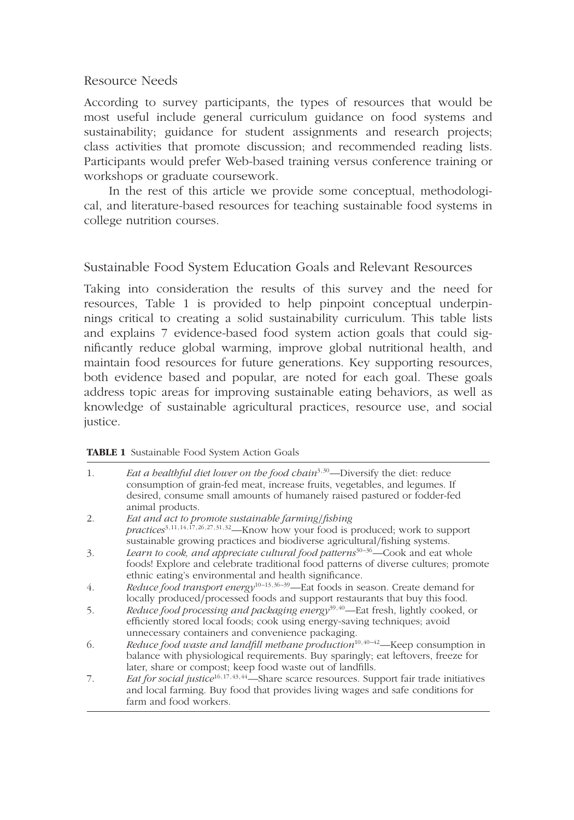#### Resource Needs

According to survey participants, the types of resources that would be most useful include general curriculum guidance on food systems and sustainability; guidance for student assignments and research projects; class activities that promote discussion; and recommended reading lists. Participants would prefer Web-based training versus conference training or workshops or graduate coursework.

In the rest of this article we provide some conceptual, methodological, and literature-based resources for teaching sustainable food systems in college nutrition courses.

#### Sustainable Food System Education Goals and Relevant Resources

Taking into consideration the results of this survey and the need for resources, Table 1 is provided to help pinpoint conceptual underpinnings critical to creating a solid sustainability curriculum. This table lists and explains 7 evidence-based food system action goals that could significantly reduce global warming, improve global nutritional health, and maintain food resources for future generations. Key supporting resources, both evidence based and popular, are noted for each goal. These goals address topic areas for improving sustainable eating behaviors, as well as knowledge of sustainable agricultural practices, resource use, and social justice.

#### **TABLE 1** Sustainable Food System Action Goals

| 1. | Eat a healthful diet lower on the food chain <sup>3,30</sup> —Diversify the diet: reduce<br>consumption of grain-fed meat, increase fruits, vegetables, and legumes. If<br>desired, consume small amounts of humanely raised pastured or fodder-fed<br>animal products. |
|----|-------------------------------------------------------------------------------------------------------------------------------------------------------------------------------------------------------------------------------------------------------------------------|
| 2. | Eat and act to promote sustainable farming/fishing                                                                                                                                                                                                                      |
|    | practices <sup>3,11,14,17,26,27,31,32</sup> —Know how your food is produced; work to support                                                                                                                                                                            |
|    | sustainable growing practices and biodiverse agricultural/fishing systems.                                                                                                                                                                                              |
| 3. | Learn to cook, and appreciate cultural food patterns <sup>30-36</sup> —Cook and eat whole                                                                                                                                                                               |
|    | foods! Explore and celebrate traditional food patterns of diverse cultures; promote<br>ethnic eating's environmental and health significance.                                                                                                                           |
| 4. | Reduce food transport energy <sup>10-13,36-39</sup> -Eat foods in season. Create demand for                                                                                                                                                                             |
|    | locally produced/processed foods and support restaurants that buy this food.                                                                                                                                                                                            |
| 5. | <i>Reduce food processing and packaging energy</i> <sup>39,40</sup> —Eat fresh, lightly cooked, or                                                                                                                                                                      |
|    | efficiently stored local foods; cook using energy-saving techniques; avoid                                                                                                                                                                                              |
|    | unnecessary containers and convenience packaging.                                                                                                                                                                                                                       |
| 6. | Reduce food waste and landfill methane production <sup>10,40-42</sup> —Keep consumption in                                                                                                                                                                              |
|    | balance with physiological requirements. Buy sparingly; eat leftovers, freeze for                                                                                                                                                                                       |
|    | later, share or compost; keep food waste out of landfills.                                                                                                                                                                                                              |
| 7. | Eat for social justice <sup>16,17,43,44</sup> —Share scarce resources. Support fair trade initiatives                                                                                                                                                                   |
|    | and local farming. Buy food that provides living wages and safe conditions for                                                                                                                                                                                          |
|    | farm and food workers.                                                                                                                                                                                                                                                  |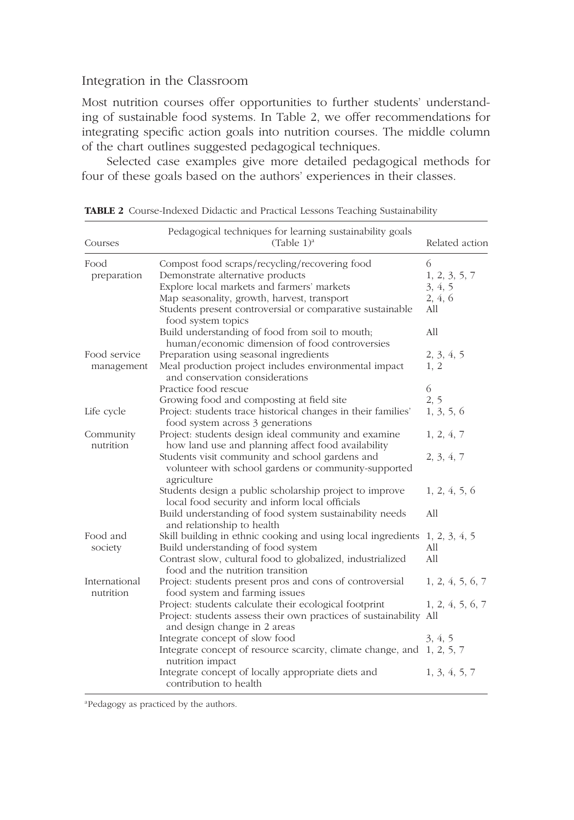#### Integration in the Classroom

Most nutrition courses offer opportunities to further students' understanding of sustainable food systems. In Table 2, we offer recommendations for integrating specific action goals into nutrition courses. The middle column of the chart outlines suggested pedagogical techniques.

Selected case examples give more detailed pedagogical methods for four of these goals based on the authors' experiences in their classes.

| Courses                    | Pedagogical techniques for learning sustainability goals<br>(Table 1) <sup>a</sup>                                                                                                                                                                                | Related action                                  |
|----------------------------|-------------------------------------------------------------------------------------------------------------------------------------------------------------------------------------------------------------------------------------------------------------------|-------------------------------------------------|
| Food<br>preparation        | Compost food scraps/recycling/recovering food<br>Demonstrate alternative products<br>Explore local markets and farmers' markets<br>Map seasonality, growth, harvest, transport<br>Students present controversial or comparative sustainable<br>food system topics | 6<br>1, 2, 3, 5, 7<br>3, 4, 5<br>2, 4, 6<br>All |
|                            | Build understanding of food from soil to mouth;<br>human/economic dimension of food controversies                                                                                                                                                                 | All                                             |
| Food service<br>management | Preparation using seasonal ingredients<br>Meal production project includes environmental impact<br>and conservation considerations<br>Practice food rescue                                                                                                        | 2, 3, 4, 5<br>1, 2<br>6                         |
| Life cycle                 | Growing food and composting at field site<br>Project: students trace historical changes in their families'<br>food system across 3 generations                                                                                                                    | 2, 5<br>1, 3, 5, 6                              |
| Community<br>nutrition     | Project: students design ideal community and examine<br>how land use and planning affect food availability<br>Students visit community and school gardens and<br>volunteer with school gardens or community-supported<br>agriculture                              | 1, 2, 4, 7<br>2, 3, 4, 7                        |
|                            | Students design a public scholarship project to improve<br>local food security and inform local officials<br>Build understanding of food system sustainability needs<br>and relationship to health                                                                | 1, 2, 4, 5, 6<br>All                            |
| Food and<br>society        | Skill building in ethnic cooking and using local ingredients 1, 2, 3, 4, 5<br>Build understanding of food system<br>Contrast slow, cultural food to globalized, industrialized<br>food and the nutrition transition                                               | All<br>All                                      |
| International<br>nutrition | Project: students present pros and cons of controversial<br>food system and farming issues                                                                                                                                                                        | 1, 2, 4, 5, 6, 7                                |
|                            | Project: students calculate their ecological footprint<br>Project: students assess their own practices of sustainability All<br>and design change in 2 areas                                                                                                      | 1, 2, 4, 5, 6, 7                                |
|                            | Integrate concept of slow food<br>Integrate concept of resource scarcity, climate change, and 1, 2, 5, 7<br>nutrition impact                                                                                                                                      | 3, 4, 5                                         |
|                            | Integrate concept of locally appropriate diets and<br>contribution to health                                                                                                                                                                                      | 1, 3, 4, 5, 7                                   |

**TABLE 2** Course-Indexed Didactic and Practical Lessons Teaching Sustainability

<sup>a</sup>Pedagogy as practiced by the authors.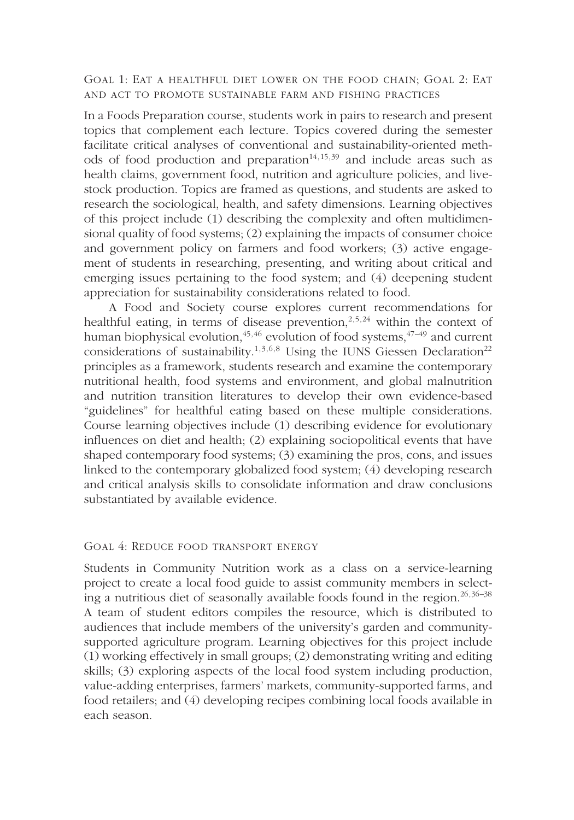GOAL 1: EAT A HEALTHFUL DIET LOWER ON THE FOOD CHAIN; GOAL 2: EAT AND ACT TO PROMOTE SUSTAINABLE FARM AND FISHING PRACTICES

In a Foods Preparation course, students work in pairs to research and present topics that complement each lecture. Topics covered during the semester facilitate critical analyses of conventional and sustainability-oriented methods of food production and preparation<sup>14,15,39</sup> and include areas such as health claims, government food, nutrition and agriculture policies, and livestock production. Topics are framed as questions, and students are asked to research the sociological, health, and safety dimensions. Learning objectives of this project include (1) describing the complexity and often multidimensional quality of food systems; (2) explaining the impacts of consumer choice and government policy on farmers and food workers; (3) active engagement of students in researching, presenting, and writing about critical and emerging issues pertaining to the food system; and (4) deepening student appreciation for sustainability considerations related to food.

A Food and Society course explores current recommendations for healthful eating, in terms of disease prevention,<sup>2,5,24</sup> within the context of human biophysical evolution, $45,46$  evolution of food systems,  $47-49$  and current considerations of sustainability.<sup>1,3,6,8</sup> Using the IUNS Giessen Declaration<sup>22</sup> principles as a framework, students research and examine the contemporary nutritional health, food systems and environment, and global malnutrition and nutrition transition literatures to develop their own evidence-based "guidelines" for healthful eating based on these multiple considerations. Course learning objectives include (1) describing evidence for evolutionary influences on diet and health; (2) explaining sociopolitical events that have shaped contemporary food systems; (3) examining the pros, cons, and issues linked to the contemporary globalized food system; (4) developing research and critical analysis skills to consolidate information and draw conclusions substantiated by available evidence.

#### GOAL 4: REDUCE FOOD TRANSPORT ENERGY

Students in Community Nutrition work as a class on a service-learning project to create a local food guide to assist community members in selecting a nutritious diet of seasonally available foods found in the region.  $26,36-38$ A team of student editors compiles the resource, which is distributed to audiences that include members of the university's garden and communitysupported agriculture program. Learning objectives for this project include (1) working effectively in small groups; (2) demonstrating writing and editing skills; (3) exploring aspects of the local food system including production, value-adding enterprises, farmers' markets, community-supported farms, and food retailers; and (4) developing recipes combining local foods available in each season.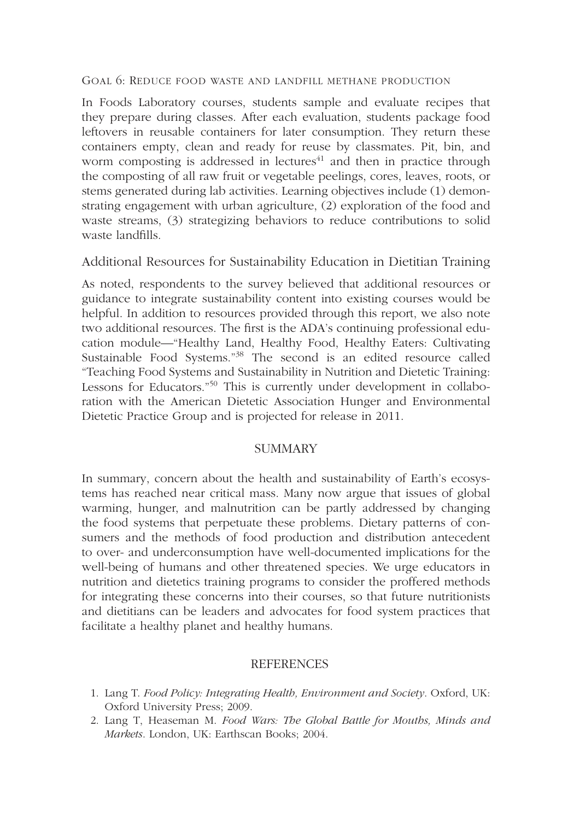#### GOAL 6: REDUCE FOOD WASTE AND LANDFILL METHANE PRODUCTION

In Foods Laboratory courses, students sample and evaluate recipes that they prepare during classes. After each evaluation, students package food leftovers in reusable containers for later consumption. They return these containers empty, clean and ready for reuse by classmates. Pit, bin, and worm composting is addressed in lectures<sup> $41$ </sup> and then in practice through the composting of all raw fruit or vegetable peelings, cores, leaves, roots, or stems generated during lab activities. Learning objectives include (1) demonstrating engagement with urban agriculture, (2) exploration of the food and waste streams, (3) strategizing behaviors to reduce contributions to solid waste landfills.

#### Additional Resources for Sustainability Education in Dietitian Training

As noted, respondents to the survey believed that additional resources or guidance to integrate sustainability content into existing courses would be helpful. In addition to resources provided through this report, we also note two additional resources. The first is the ADA's continuing professional education module—"Healthy Land, Healthy Food, Healthy Eaters: Cultivating Sustainable Food Systems."38 The second is an edited resource called "Teaching Food Systems and Sustainability in Nutrition and Dietetic Training: Lessons for Educators."50 This is currently under development in collaboration with the American Dietetic Association Hunger and Environmental Dietetic Practice Group and is projected for release in 2011.

#### **SUMMARY**

In summary, concern about the health and sustainability of Earth's ecosystems has reached near critical mass. Many now argue that issues of global warming, hunger, and malnutrition can be partly addressed by changing the food systems that perpetuate these problems. Dietary patterns of consumers and the methods of food production and distribution antecedent to over- and underconsumption have well-documented implications for the well-being of humans and other threatened species. We urge educators in nutrition and dietetics training programs to consider the proffered methods for integrating these concerns into their courses, so that future nutritionists and dietitians can be leaders and advocates for food system practices that facilitate a healthy planet and healthy humans.

#### REFERENCES

- 1. Lang T. *Food Policy: Integrating Health, Environment and Society*. Oxford, UK: Oxford University Press; 2009.
- 2. Lang T, Heaseman M. *Food Wars: The Global Battle for Mouths, Minds and Markets*. London, UK: Earthscan Books; 2004.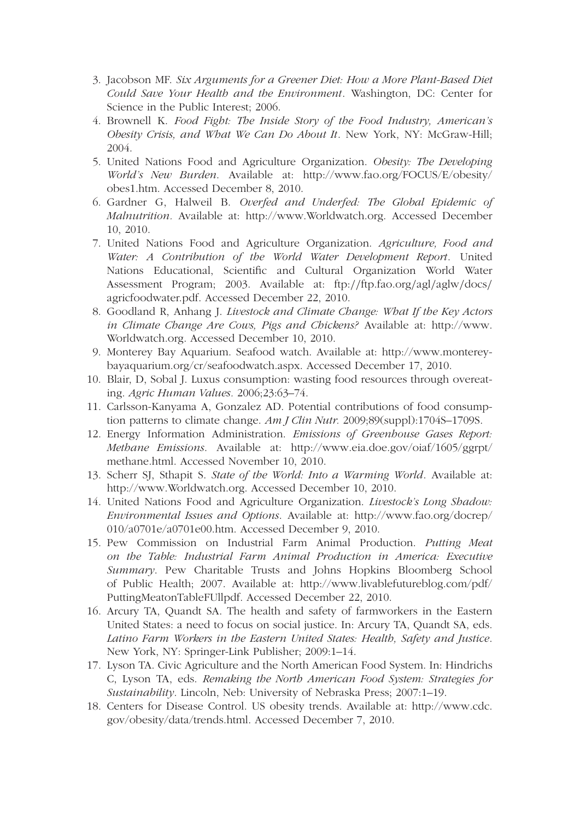- 3. Jacobson MF. *Six Arguments for a Greener Diet: How a More Plant-Based Diet Could Save Your Health and the Environment*. Washington, DC: Center for Science in the Public Interest; 2006.
- 4. Brownell K. *Food Fight: The Inside Story of the Food Industry, American's Obesity Crisis, and What We Can Do About It*. New York, NY: McGraw-Hill; 2004.
- 5. United Nations Food and Agriculture Organization. *Obesity: The Developing World's New Burden*. Available at: http://www.fao.org/FOCUS/E/obesity/ obes1.htm. Accessed December 8, 2010.
- 6. Gardner G, Halweil B. *Overfed and Underfed: The Global Epidemic of Malnutrition.* Available at: http://www.Worldwatch.org. Accessed December 10, 2010.
- 7. United Nations Food and Agriculture Organization. *Agriculture, Food and Water: A Contribution of the World Water Development Report*. United Nations Educational, Scientific and Cultural Organization World Water Assessment Program; 2003. Available at: ftp:*//*ftp.fao.org*/*agl*/*aglw*/*docs*/* agricfoodwater.pdf. Accessed December 22, 2010.
- 8. Goodland R, Anhang J. *Livestock and Climate Change: What If the Key Actors in Climate Change Are Cows, Pigs and Chickens?* Available at: http://www. Worldwatch.org. Accessed December 10, 2010.
- 9. Monterey Bay Aquarium. Seafood watch. Available at: http://www.montereybayaquarium.org/cr/seafoodwatch.aspx. Accessed December 17, 2010.
- 10. Blair, D, Sobal J. Luxus consumption: wasting food resources through overeating. *Agric Human Values.* 2006;23:63–74.
- 11. Carlsson-Kanyama A, Gonzalez AD. Potential contributions of food consumption patterns to climate change. *Am J Clin Nutr.* 2009;89(suppl):1704S–1709S.
- 12. Energy Information Administration. *Emissions of Greenhouse Gases Report: Methane Emissions*. Available at: http://www.eia.doe.gov/oiaf/1605/ggrpt/ methane.html. Accessed November 10, 2010.
- 13. Scherr SJ, Sthapit S. *State of the World: Into a Warming World*. Available at: http://www.Worldwatch.org. Accessed December 10, 2010.
- 14. United Nations Food and Agriculture Organization. *Livestock's Long Shadow: Environmental Issues and Options*. Available at: http://www.fao.org/docrep/ 010/a0701e/a0701e00.htm. Accessed December 9, 2010.
- 15. Pew Commission on Industrial Farm Animal Production. *Putting Meat on the Table: Industrial Farm Animal Production in America: Executive Summary*. Pew Charitable Trusts and Johns Hopkins Bloomberg School of Public Health; 2007. Available at: http://www.livablefutureblog.com/pdf/ PuttingMeatonTableFUllpdf. Accessed December 22, 2010.
- 16. Arcury TA, Quandt SA. The health and safety of farmworkers in the Eastern United States: a need to focus on social justice. In: Arcury TA, Quandt SA, eds. *Latino Farm Workers in the Eastern United States: Health, Safety and Justice*. New York, NY: Springer-Link Publisher; 2009:1–14.
- 17. Lyson TA. Civic Agriculture and the North American Food System. In: Hindrichs C, Lyson TA, eds. *Remaking the North American Food System: Strategies for Sustainability*. Lincoln, Neb: University of Nebraska Press; 2007:1–19.
- 18. Centers for Disease Control. US obesity trends. Available at: http://www.cdc. gov/obesity/data/trends.html. Accessed December 7, 2010.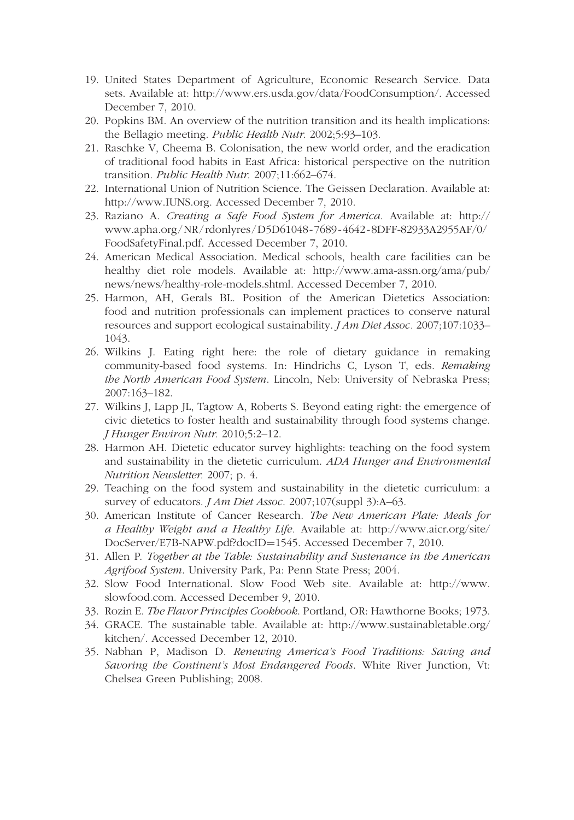- 19. United States Department of Agriculture, Economic Research Service. Data sets. Available at: http://www.ers.usda.gov/data/FoodConsumption/. Accessed December 7, 2010.
- 20. Popkins BM. An overview of the nutrition transition and its health implications: the Bellagio meeting. *Public Health Nutr.* 2002;5:93–103.
- 21. Raschke V, Cheema B. Colonisation, the new world order, and the eradication of traditional food habits in East Africa: historical perspective on the nutrition transition. *Public Health Nutr.* 2007;11:662–674.
- 22. International Union of Nutrition Science. The Geissen Declaration. Available at: http://www.IUNS.org. Accessed December 7, 2010.
- 23. Raziano A. *Creating a Safe Food System for America*. Available at: http:// www.apha.org /NR / rdonlyres /D5D61048 - 7689 - 4642 - 8DFF-82933A2955AF/0/ FoodSafetyFinal.pdf. Accessed December 7, 2010.
- 24. American Medical Association. Medical schools, health care facilities can be healthy diet role models. Available at: http://www.ama-assn.org/ama/pub/ news/news/healthy-role-models.shtml. Accessed December 7, 2010.
- 25. Harmon, AH, Gerals BL. Position of the American Dietetics Association: food and nutrition professionals can implement practices to conserve natural resources and support ecological sustainability. *J Am Diet Assoc.* 2007;107:1033– 1043.
- 26. Wilkins J. Eating right here: the role of dietary guidance in remaking community-based food systems. In: Hindrichs C, Lyson T, eds. *Remaking the North American Food System*. Lincoln, Neb: University of Nebraska Press; 2007:163–182.
- 27. Wilkins J, Lapp JL, Tagtow A, Roberts S. Beyond eating right: the emergence of civic dietetics to foster health and sustainability through food systems change. *J Hunger Environ Nutr.* 2010;5:2–12.
- 28. Harmon AH. Dietetic educator survey highlights: teaching on the food system and sustainability in the dietetic curriculum. *ADA Hunger and Environmental Nutrition Newsletter.* 2007; p. 4.
- 29. Teaching on the food system and sustainability in the dietetic curriculum: a survey of educators. *J Am Diet Assoc*. 2007;107(suppl 3):A–63.
- 30. American Institute of Cancer Research. *The New American Plate: Meals for a Healthy Weight and a Healthy Life.* Available at: http://www.aicr.org/site/ DocServer/E7B-NAPW.pdf?docID=1545. Accessed December 7, 2010.
- 31. Allen P. *Together at the Table: Sustainability and Sustenance in the American Agrifood System*. University Park, Pa: Penn State Press; 2004.
- 32. Slow Food International. Slow Food Web site. Available at: http://www. slowfood.com. Accessed December 9, 2010.
- 33. Rozin E. *The Flavor Principles Cookbook*. Portland, OR: Hawthorne Books; 1973.
- 34. GRACE. The sustainable table. Available at: http://www.sustainabletable.org/ kitchen/. Accessed December 12, 2010.
- 35. Nabhan P, Madison D. *Renewing America's Food Traditions: Saving and Savoring the Continent's Most Endangered Foods*. White River Junction, Vt: Chelsea Green Publishing; 2008.